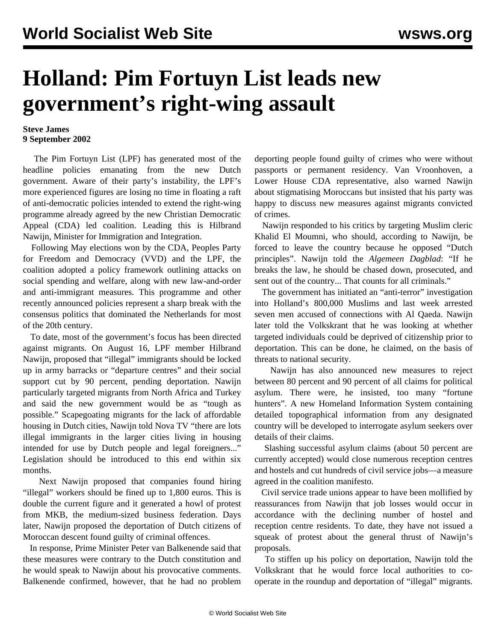## **Holland: Pim Fortuyn List leads new government's right-wing assault**

## **Steve James 9 September 2002**

 The Pim Fortuyn List (LPF) has generated most of the headline policies emanating from the new Dutch government. Aware of their party's instability, the LPF's more experienced figures are losing no time in floating a raft of anti-democratic policies intended to extend the right-wing programme already agreed by the new Christian Democratic Appeal (CDA) led coalition. Leading this is Hilbrand Nawijn, Minister for Immigration and Integration.

 Following May elections won by the CDA, Peoples Party for Freedom and Democracy (VVD) and the LPF, the coalition adopted a policy framework outlining attacks on social spending and welfare, along with new law-and-order and anti-immigrant measures. This programme and other recently announced policies represent a sharp break with the consensus politics that dominated the Netherlands for most of the 20th century.

 To date, most of the government's focus has been directed against migrants. On August 16, LPF member Hilbrand Nawijn, proposed that "illegal" immigrants should be locked up in army barracks or "departure centres" and their social support cut by 90 percent, pending deportation. Nawijn particularly targeted migrants from North Africa and Turkey and said the new government would be as "tough as possible." Scapegoating migrants for the lack of affordable housing in Dutch cities, Nawijn told Nova TV "there are lots illegal immigrants in the larger cities living in housing intended for use by Dutch people and legal foreigners..." Legislation should be introduced to this end within six months.

 Next Nawijn proposed that companies found hiring "illegal" workers should be fined up to 1,800 euros. This is double the current figure and it generated a howl of protest from MKB, the medium-sized business federation. Days later, Nawijn proposed the deportation of Dutch citizens of Moroccan descent found guilty of criminal offences.

 In response, Prime Minister Peter van Balkenende said that these measures were contrary to the Dutch constitution and he would speak to Nawijn about his provocative comments. Balkenende confirmed, however, that he had no problem deporting people found guilty of crimes who were without passports or permanent residency. Van Vroonhoven, a Lower House CDA representative, also warned Nawijn about stigmatising Moroccans but insisted that his party was happy to discuss new measures against migrants convicted of crimes.

 Nawijn responded to his critics by targeting Muslim cleric Khalid El Moumni, who should, according to Nawijn, be forced to leave the country because he opposed "Dutch principles". Nawijn told the *Algemeen Dagblad*: "If he breaks the law, he should be chased down, prosecuted, and sent out of the country... That counts for all criminals."

 The government has initiated an "anti-terror" investigation into Holland's 800,000 Muslims and last week arrested seven men accused of connections with Al Qaeda. Nawijn later told the Volkskrant that he was looking at whether targeted individuals could be deprived of citizenship prior to deportation. This can be done, he claimed, on the basis of threats to national security.

 Nawijn has also announced new measures to reject between 80 percent and 90 percent of all claims for political asylum. There were, he insisted, too many "fortune hunters". A new Homeland Information System containing detailed topographical information from any designated country will be developed to interrogate asylum seekers over details of their claims.

 Slashing successful asylum claims (about 50 percent are currently accepted) would close numerous reception centres and hostels and cut hundreds of civil service jobs—a measure agreed in the coalition manifesto.

 Civil service trade unions appear to have been mollified by reassurances from Nawijn that job losses would occur in accordance with the declining number of hostel and reception centre residents. To date, they have not issued a squeak of protest about the general thrust of Nawijn's proposals.

 To stiffen up his policy on deportation, Nawijn told the Volkskrant that he would force local authorities to cooperate in the roundup and deportation of "illegal" migrants.